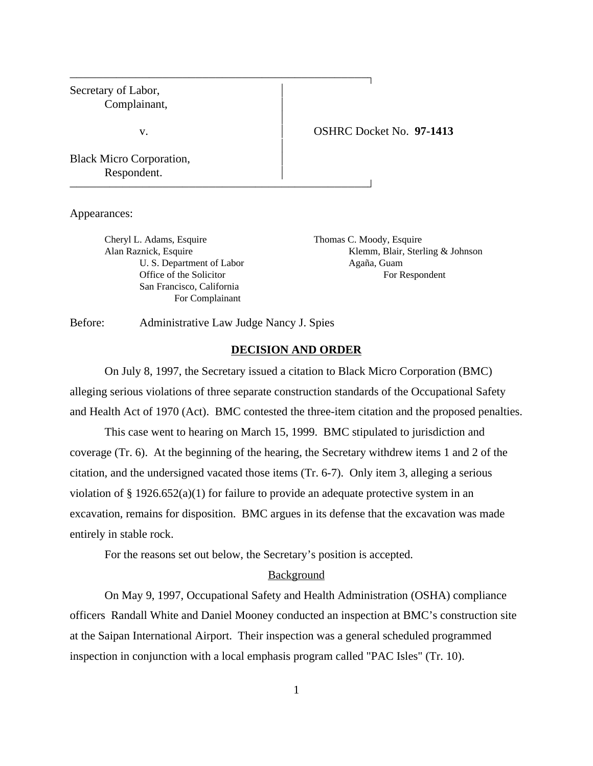# Secretary of Labor, Complainant,  $\overline{1}$ v. OSHRC Docket No. **97-1413**  $\overline{1}$ Black Micro Corporation, Respondent.

Appearances:

Cheryl L. Adams, Esquire Thomas C. Moody, Esquire U. S. Department of Labor Agaña, Guam San Francisco, California For Complainant

Alan Raznick, Esquire Klemm, Blair, Sterling & Johnson Office of the Solicitor For Respondent

Before: Administrative Law Judge Nancy J. Spies

#### **DECISION AND ORDER**

On July 8, 1997, the Secretary issued a citation to Black Micro Corporation (BMC) alleging serious violations of three separate construction standards of the Occupational Safety and Health Act of 1970 (Act). BMC contested the three-item citation and the proposed penalties.

This case went to hearing on March 15, 1999. BMC stipulated to jurisdiction and coverage (Tr. 6). At the beginning of the hearing, the Secretary withdrew items 1 and 2 of the citation, and the undersigned vacated those items (Tr. 6-7). Only item 3, alleging a serious violation of  $\S 1926.652(a)(1)$  for failure to provide an adequate protective system in an excavation, remains for disposition. BMC argues in its defense that the excavation was made entirely in stable rock.

For the reasons set out below, the Secretary's position is accepted.

#### Background

On May 9, 1997, Occupational Safety and Health Administration (OSHA) compliance officers Randall White and Daniel Mooney conducted an inspection at BMC's construction site at the Saipan International Airport. Their inspection was a general scheduled programmed inspection in conjunction with a local emphasis program called "PAC Isles" (Tr. 10).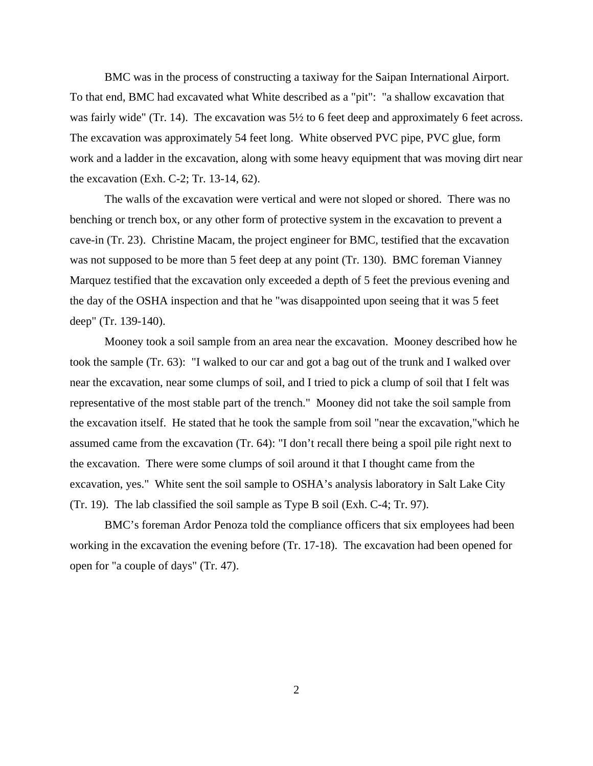BMC was in the process of constructing a taxiway for the Saipan International Airport. To that end, BMC had excavated what White described as a "pit": "a shallow excavation that was fairly wide" (Tr. 14). The excavation was  $5\frac{1}{2}$  to 6 feet deep and approximately 6 feet across. The excavation was approximately 54 feet long. White observed PVC pipe, PVC glue, form work and a ladder in the excavation, along with some heavy equipment that was moving dirt near the excavation (Exh. C-2; Tr. 13-14, 62).

The walls of the excavation were vertical and were not sloped or shored. There was no benching or trench box, or any other form of protective system in the excavation to prevent a cave-in (Tr. 23). Christine Macam, the project engineer for BMC, testified that the excavation was not supposed to be more than 5 feet deep at any point (Tr. 130). BMC foreman Vianney Marquez testified that the excavation only exceeded a depth of 5 feet the previous evening and the day of the OSHA inspection and that he "was disappointed upon seeing that it was 5 feet deep" (Tr. 139-140).

Mooney took a soil sample from an area near the excavation. Mooney described how he took the sample (Tr. 63): "I walked to our car and got a bag out of the trunk and I walked over near the excavation, near some clumps of soil, and I tried to pick a clump of soil that I felt was representative of the most stable part of the trench." Mooney did not take the soil sample from the excavation itself. He stated that he took the sample from soil "near the excavation,"which he assumed came from the excavation (Tr. 64): "I don't recall there being a spoil pile right next to the excavation. There were some clumps of soil around it that I thought came from the excavation, yes." White sent the soil sample to OSHA's analysis laboratory in Salt Lake City (Tr. 19). The lab classified the soil sample as Type B soil (Exh. C-4; Tr. 97).

BMC's foreman Ardor Penoza told the compliance officers that six employees had been working in the excavation the evening before (Tr. 17-18). The excavation had been opened for open for "a couple of days" (Tr. 47).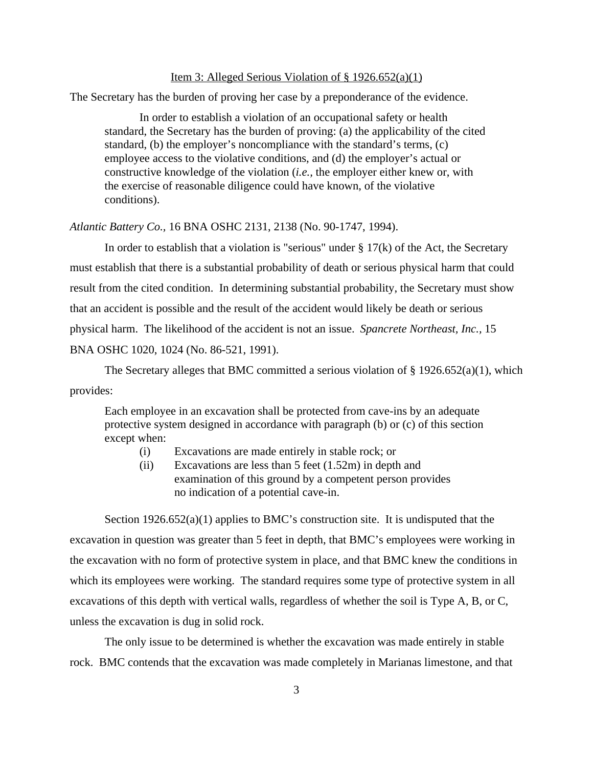### Item 3: Alleged Serious Violation of  $\S 1926.652(a)(1)$

The Secretary has the burden of proving her case by a preponderance of the evidence.

In order to establish a violation of an occupational safety or health standard, the Secretary has the burden of proving: (a) the applicability of the cited standard, (b) the employer's noncompliance with the standard's terms, (c) employee access to the violative conditions, and (d) the employer's actual or constructive knowledge of the violation (*i.e.,* the employer either knew or, with the exercise of reasonable diligence could have known, of the violative conditions).

#### *Atlantic Battery Co.,* 16 BNA OSHC 2131, 2138 (No. 90-1747, 1994).

In order to establish that a violation is "serious" under  $\S 17(k)$  of the Act, the Secretary must establish that there is a substantial probability of death or serious physical harm that could result from the cited condition. In determining substantial probability, the Secretary must show that an accident is possible and the result of the accident would likely be death or serious physical harm. The likelihood of the accident is not an issue. *Spancrete Northeast, Inc.,* 15 BNA OSHC 1020, 1024 (No. 86-521, 1991).

The Secretary alleges that BMC committed a serious violation of  $\S 1926.652(a)(1)$ , which provides:

Each employee in an excavation shall be protected from cave-ins by an adequate protective system designed in accordance with paragraph (b) or (c) of this section except when:

- (i) Excavations are made entirely in stable rock; or
- (ii) Excavations are less than 5 feet (1.52m) in depth and examination of this ground by a competent person provides no indication of a potential cave-in.

Section 1926.652(a)(1) applies to BMC's construction site. It is undisputed that the excavation in question was greater than 5 feet in depth, that BMC's employees were working in the excavation with no form of protective system in place, and that BMC knew the conditions in which its employees were working. The standard requires some type of protective system in all excavations of this depth with vertical walls, regardless of whether the soil is Type A, B, or C, unless the excavation is dug in solid rock.

The only issue to be determined is whether the excavation was made entirely in stable rock. BMC contends that the excavation was made completely in Marianas limestone, and that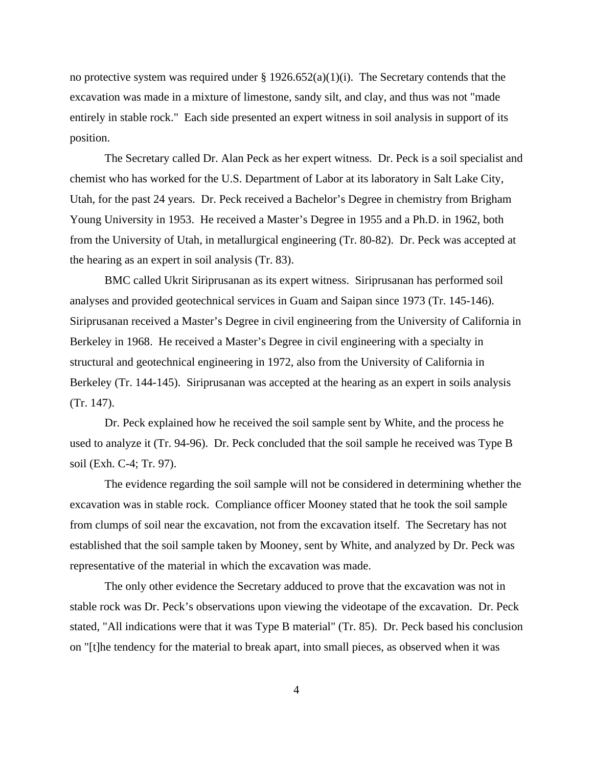no protective system was required under §  $1926.652(a)(1)(i)$ . The Secretary contends that the excavation was made in a mixture of limestone, sandy silt, and clay, and thus was not "made entirely in stable rock." Each side presented an expert witness in soil analysis in support of its position.

The Secretary called Dr. Alan Peck as her expert witness. Dr. Peck is a soil specialist and chemist who has worked for the U.S. Department of Labor at its laboratory in Salt Lake City, Utah, for the past 24 years. Dr. Peck received a Bachelor's Degree in chemistry from Brigham Young University in 1953. He received a Master's Degree in 1955 and a Ph.D. in 1962, both from the University of Utah, in metallurgical engineering (Tr. 80-82). Dr. Peck was accepted at the hearing as an expert in soil analysis (Tr. 83).

BMC called Ukrit Siriprusanan as its expert witness. Siriprusanan has performed soil analyses and provided geotechnical services in Guam and Saipan since 1973 (Tr. 145-146). Siriprusanan received a Master's Degree in civil engineering from the University of California in Berkeley in 1968. He received a Master's Degree in civil engineering with a specialty in structural and geotechnical engineering in 1972, also from the University of California in Berkeley (Tr. 144-145). Siriprusanan was accepted at the hearing as an expert in soils analysis (Tr. 147).

Dr. Peck explained how he received the soil sample sent by White, and the process he used to analyze it (Tr. 94-96). Dr. Peck concluded that the soil sample he received was Type B soil (Exh. C-4; Tr. 97).

The evidence regarding the soil sample will not be considered in determining whether the excavation was in stable rock. Compliance officer Mooney stated that he took the soil sample from clumps of soil near the excavation, not from the excavation itself. The Secretary has not established that the soil sample taken by Mooney, sent by White, and analyzed by Dr. Peck was representative of the material in which the excavation was made.

The only other evidence the Secretary adduced to prove that the excavation was not in stable rock was Dr. Peck's observations upon viewing the videotape of the excavation. Dr. Peck stated, "All indications were that it was Type B material" (Tr. 85). Dr. Peck based his conclusion on "[t]he tendency for the material to break apart, into small pieces, as observed when it was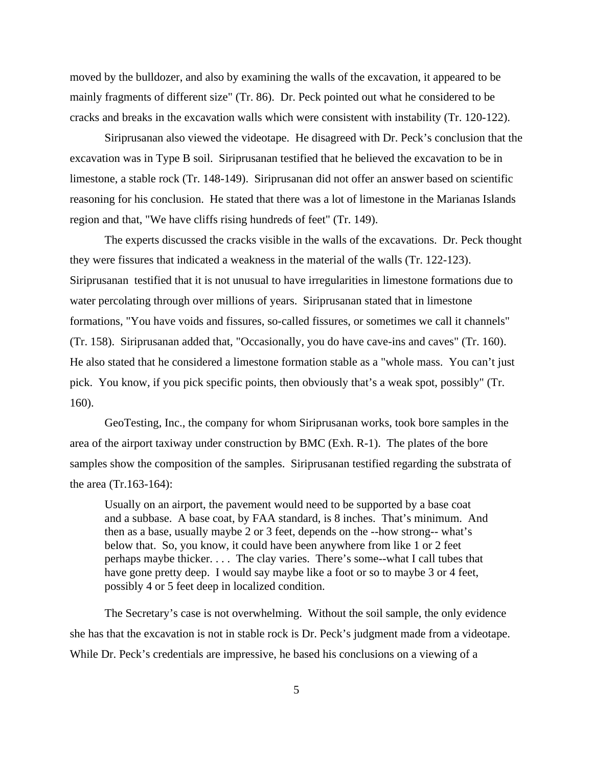moved by the bulldozer, and also by examining the walls of the excavation, it appeared to be mainly fragments of different size" (Tr. 86). Dr. Peck pointed out what he considered to be cracks and breaks in the excavation walls which were consistent with instability (Tr. 120-122).

Siriprusanan also viewed the videotape. He disagreed with Dr. Peck's conclusion that the excavation was in Type B soil. Siriprusanan testified that he believed the excavation to be in limestone, a stable rock (Tr. 148-149). Siriprusanan did not offer an answer based on scientific reasoning for his conclusion. He stated that there was a lot of limestone in the Marianas Islands region and that, "We have cliffs rising hundreds of feet" (Tr. 149).

The experts discussed the cracks visible in the walls of the excavations. Dr. Peck thought they were fissures that indicated a weakness in the material of the walls (Tr. 122-123). Siriprusanan testified that it is not unusual to have irregularities in limestone formations due to water percolating through over millions of years. Siriprusanan stated that in limestone formations, "You have voids and fissures, so-called fissures, or sometimes we call it channels" (Tr. 158). Siriprusanan added that, "Occasionally, you do have cave-ins and caves" (Tr. 160). He also stated that he considered a limestone formation stable as a "whole mass. You can't just pick. You know, if you pick specific points, then obviously that's a weak spot, possibly" (Tr. 160).

GeoTesting, Inc., the company for whom Siriprusanan works, took bore samples in the area of the airport taxiway under construction by BMC (Exh. R-1). The plates of the bore samples show the composition of the samples. Siriprusanan testified regarding the substrata of the area (Tr.163-164):

Usually on an airport, the pavement would need to be supported by a base coat and a subbase. A base coat, by FAA standard, is 8 inches. That's minimum. And then as a base, usually maybe 2 or 3 feet, depends on the --how strong-- what's below that. So, you know, it could have been anywhere from like 1 or 2 feet perhaps maybe thicker. . . . The clay varies. There's some--what I call tubes that have gone pretty deep. I would say maybe like a foot or so to maybe 3 or 4 feet, possibly 4 or 5 feet deep in localized condition.

The Secretary's case is not overwhelming. Without the soil sample, the only evidence she has that the excavation is not in stable rock is Dr. Peck's judgment made from a videotape. While Dr. Peck's credentials are impressive, he based his conclusions on a viewing of a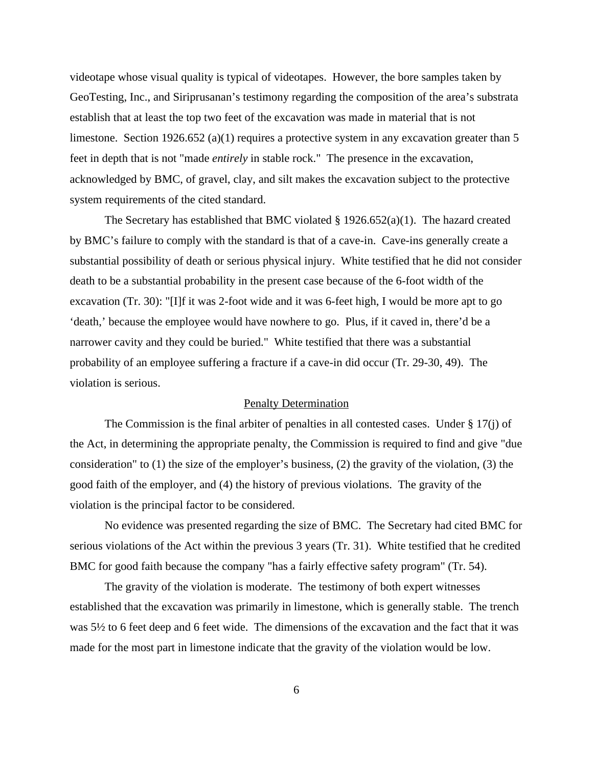videotape whose visual quality is typical of videotapes. However, the bore samples taken by GeoTesting, Inc., and Siriprusanan's testimony regarding the composition of the area's substrata establish that at least the top two feet of the excavation was made in material that is not limestone. Section 1926.652 (a)(1) requires a protective system in any excavation greater than 5 feet in depth that is not "made *entirely* in stable rock." The presence in the excavation, acknowledged by BMC, of gravel, clay, and silt makes the excavation subject to the protective system requirements of the cited standard.

The Secretary has established that BMC violated  $\S 1926.652(a)(1)$ . The hazard created by BMC's failure to comply with the standard is that of a cave-in. Cave-ins generally create a substantial possibility of death or serious physical injury. White testified that he did not consider death to be a substantial probability in the present case because of the 6-foot width of the excavation (Tr. 30): "[I]f it was 2-foot wide and it was 6-feet high, I would be more apt to go 'death,' because the employee would have nowhere to go. Plus, if it caved in, there'd be a narrower cavity and they could be buried." White testified that there was a substantial probability of an employee suffering a fracture if a cave-in did occur (Tr. 29-30, 49). The violation is serious.

#### Penalty Determination

The Commission is the final arbiter of penalties in all contested cases. Under  $\S 17(i)$  of the Act, in determining the appropriate penalty, the Commission is required to find and give "due consideration" to (1) the size of the employer's business, (2) the gravity of the violation, (3) the good faith of the employer, and (4) the history of previous violations. The gravity of the violation is the principal factor to be considered.

No evidence was presented regarding the size of BMC. The Secretary had cited BMC for serious violations of the Act within the previous 3 years (Tr. 31). White testified that he credited BMC for good faith because the company "has a fairly effective safety program" (Tr. 54).

The gravity of the violation is moderate. The testimony of both expert witnesses established that the excavation was primarily in limestone, which is generally stable. The trench was 5½ to 6 feet deep and 6 feet wide. The dimensions of the excavation and the fact that it was made for the most part in limestone indicate that the gravity of the violation would be low.